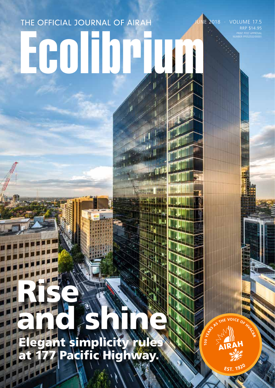# THE OFFICIAL JOURNAL OF AIRAH

PRINT POST APPROVAL NUMBER PP352532/00001 E 2018 · VOLUME 17.5 RRP \$14.95

# Rise and shine

Elegant simplicity rules at 177 Pacific Highway.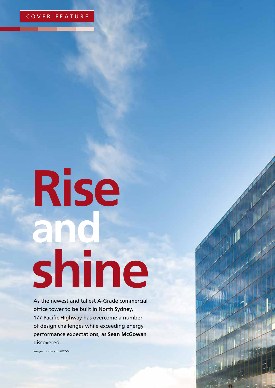

# **Rise and shine**

As the newest and tallest A-Grade commercial office tower to be built in North Sydney, 177 Pacific Highway has overcome a number of design challenges while exceeding energy performance expectations, as **Sean McGowan**  discovered.

Images courtesy of AECOM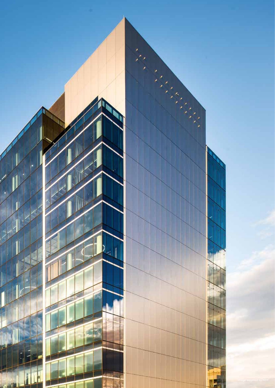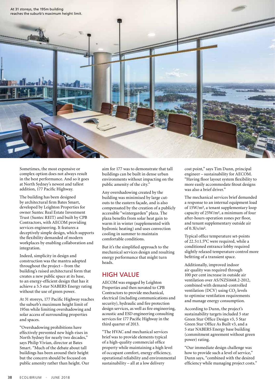

Sometimes, the most expensive or complex option does not always result in the best performance. And so it goes at North Sydney's newest and tallest addition, 177 Pacific Highway.

The building has been designed by architectural firm Bates Smart, developed by Leighton Properties for owner Suntec Real Estate Investment Trust (Suntec REIT) and built by CPB Contractors, with AECOM providing services engineering. It features a deceptively simple design, which supports the flexibility demanded of modern workplaces by enabling collaboration and integration.

Indeed, simplicity in design and construction was the mantra adopted throughout the project – from the building's raised architectural form that creates a new public space at its base, to an energy-efficient design that has it achieve a 5.5 star NABERS Energy rating without the use of green power.

At 31 storeys, 177 Pacific Highway reaches the suburb's maximum height limit of 195m while limiting overshadowing and solar access of surrounding properties and spaces.

"Overshadowing prohibitions have effectively prevented new high-rises in North Sydney for nearly two decades," says Philip Vivian, director at Bates Smart. "Much of the debate about tall buildings has been around their height but the concern should be focused on public amenity rather than height. Our aim for 177 was to demonstrate that tall buildings can be built in dense urban environments without impacting on the public amenity of the city."

Any overshadowing created by the building was minimised by large cutouts to the eastern façade, and is also compensated by the creation of a publicly accessible "wintergarden" plaza. The plaza benefits from solar heat gain to warm it in winter (supplemented with hydronic heating) and uses convection cooling in summer to maintain comfortable conditions.

But it's the simplified approach to the mechanical services design and resulting energy performance that might turn heads.

# HIGH VALUE

AECOM was engaged by Leighton Properties and then novated to CPB Contractors to provide mechanical, electrical (including communications and security), hydraulic and fire protection design services, as well as fire engineering, acoustic and ESD engineering consulting services for 177 Pacific Highway in the third quarter of 2013.

"The HVAC and mechanical services brief was to provide elements typical of a high-quality commercial office property while maintaining a high level of occupant comfort, energy efficiency, operational reliability and environmental sustainability – all at a low delivery

cost point," says Tim Dunn, principal engineer – sustainability for AECOM. "Having floor layout system flexibility to more easily accommodate fitout designs was also a brief driver."

The mechanical services brief demanded a response to an internal equipment load of 15W/m², a tenant supplementary loop capacity of 25W/m², a minimum of four after-hours operation zones per floor, and tenant supplementary outside air of 0.3l/s/m².

Typical office temperature set-points of 22.5±1.5°C were required, while a conditioned entrance lobby required slightly relaxed temperature control more befitting of a transient space.

Additionally, improved indoor air quality was required through 100 per cent increase in outside air ventilation over AS/NZS1668.2-2012, combined with demand-controlled ventilation (DCV) using  $CO<sub>2</sub>$  levels to optimise ventilation requirements and manage energy consumption.

According to Dunn, the project's sustainability targets included 5 star Green Star Office Design v3, 5 Star Green Star Office As Built v3, and a 5 star NABERS Energy base building (commitment agreement without green power) rating.

"Our immediate design challenge was how to provide such a level of service," Dunn says, "combined with the desired efficiency while managing project costs."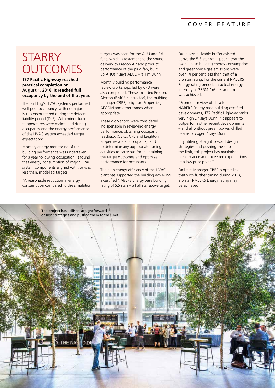#### COVER FEATURE

# **STARRY OUTCOMES**

#### **177 Pacific Highway reached practical completion on August 1, 2016. It reached full occupancy by the end of that year.**

The building's HVAC systems performed well post-occupancy, with no major issues encountered during the defects liability period (DLP). With minor tuning, temperatures were maintained during occupancy and the energy performance of the HVAC system exceeded target expectations.

Monthly energy monitoring of the building performance was undertaken for a year following occupation. It found that energy consumption of major HVAC system components aligned with, or was less than, modelled targets.

"A reasonable reduction in energy consumption compared to the simulation

targets was seen for the AHU and RA fans, which is testament to the sound delivery by Fredon Air and product performance of the plug fan, built up AHUs," says AECOM's Tim Dunn.

Monthly building performance review workshops led by CPB were also completed. These included Fredon, Alerton (BMCS contractor), the building manager CBRE, Leighton Properties, AECOM and other trades when appropriate.

These workshops were considered indispensible in reviewing energy performance, obtaining occupant feedback (CBRE, CPB and Leighton Properties are all occupants), and to determine any appropriate tuning activities to carry out for maintaining the target outcomes and optimise performance for occupants.

The high energy efficiency of the HVAC plant has supported the building achieving a certified NABERS Energy base building rating of 5.5 stars – a half star above target. Dunn says a sizable buffer existed above the 5.5 star rating, such that the overall base building energy consumption and greenhouse gas emissions were over 14 per cent less than that of a 5.5 star rating. For the current NABERS Energy rating period, an actual energy intensity of 236MJ/m² per annum was achieved.

"From our review of data for NABERS Energy base building certified developments, 177 Pacific Highway ranks very highly," says Dunn. "It appears to outperform other recent developments – and all without green power, chilled beams or cogen," says Dunn.

"By utilising straightforward design strategies and pushing these to the limit, this project has maximised performance and exceeded expectations at a low price point."

Facilities Manager CBRE is optimistic that with further tuning during 2018, a 6 star NABERS Energy rating may be achieved.

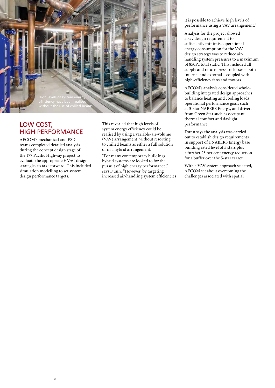

# LOW COST, HIGH PERFORMANCE

AECOM's mechanical and ESD teams completed detailed analysis during the concept design stage of the 177 Pacific Highway project to evaluate the appropriate HVAC design strategies to take forward. This included simulation modelling to set system design performance targets.

 $\overline{\mathbf{t}}$ 

\*

This revealed that high levels of system energy efficiency could be realised by using a variable-air-volume (VAV) arrangement, without resorting to chilled beams as either a full solution or in a hybrid arrangement.

"For many contemporary buildings hybrid systems are looked to for the pursuit of high energy performance," says Dunn. "However, by targeting increased air-handling system efficiencies it is possible to achieve high levels of performance using a VAV arrangement."

Analysis for the project showed a key design requirement to sufficiently minimise operational energy consumption for the VAV design strategy was to reduce airhandling system pressures to a maximum of 850Pa total static. This included all supply and return pressure losses – both internal and external – coupled with high-efficiency fans and motors.

AECOM's analysis considered wholebuilding integrated design approaches to balance heating and cooling loads, operational performance goals such as 5-star NABERS Energy, and drivers from Green Star such as occupant thermal comfort and daylight performance.

Dunn says the analysis was carried out to establish design requirements in support of a NABERS Energy base building rated level of 5 stars plus a further 25 per cent energy reduction for a buffer over the 5-star target.

With a VAV system approach selected, AECOM set about overcoming the challenges associated with spatial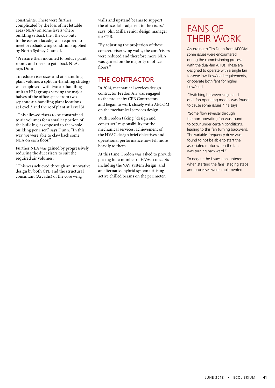constraints. These were further complicated by the loss of net lettable area (NLA) on some levels where building setback (i.e., the cut-outs to the eastern façade) was required to meet overshadowing conditions applied by North Sydney Council.

"Pressure then mounted to reduce plant rooms and risers to gain back NLA," says Dunn.

To reduce riser sizes and air-handling plant volume, a split air-handling strategy was employed, with two air-handling unit (AHU) groups serving the major halves of the office space from two separate air-handling plant locations at Level 3 and the roof plant at Level 31.

"This allowed risers to be constrained to air volumes for a smaller portion of the building, as opposed to the whole building per riser," says Dunn. "In this way, we were able to claw back some NLA on each floor."

Further NLA was gained by progressively reducing the duct risers to suit the required air volumes.

"This was achieved through an innovative design by both CPB and the structural consultant (Arcadis) of the core wing

walls and upstand beams to support the office slabs adjacent to the risers," says John Mills, senior design manager for CPB.

"By adjusting the projection of these concrete riser wing walls, the core/risers were reduced and therefore more NLA was gained on the majority of office floors."

# THE CONTRACTOR

In 2014, mechanical services design contractor Fredon Air was engaged to the project by CPB Contractors and began to work closely with AECOM on the mechanical services design.

With Fredon taking "design and construct" responsibility for the mechanical services, achievement of the HVAC design brief objectives and operational performance now fell more heavily to them.

At this time, Fredon was asked to provide pricing for a number of HVAC concepts including the VAV system design, and an alternative hybrid system utilising active chilled beams on the perimeter.

# FANS OF THEIR WORK

According to Tim Dunn from AECOM, some issues were encountered during the commissioning process with the dual-fan AHUs. These are designed to operate with a single fan to serve low-flow/load requirements, or operate both fans for higher flow/load.

"Switching between single and dual-fan operating modes was found to cause some issues," he says.

"Some flow reversal through the non-operating fan was found to occur under certain conditions, leading to this fan turning backward. The variable-frequency drive was found to not be able to start the associated motor when the fan was turning backward."

To negate the issues encountered when starting the fans, staging steps and processes were implemented.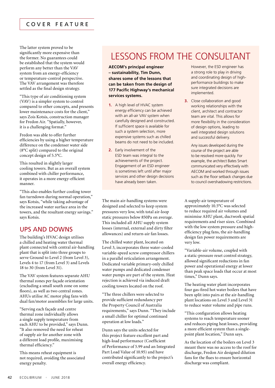## COVER FEATURE

The latter system proved to be significantly more expensive than the former. No guarantees could be established that the system would perform any better than the VAV system from an energy-efficiency or temperature-control perspective. The VAV arrangement was therefore settled as the final design strategy.

"This type of air conditioning system (VAV) is a simpler system to control compared to other concepts, and presents lower maintenance costs for the client," says Zois Kotsis, construction manager for Fredon Air. "Spatially, however, it is a challenging format."

Fredon was able to offer further efficiencies by using a higher temperature difference on the condenser water side (8°C split) compared to the original concept design of 5.5°C.

This resulted in slightly larger cooling towers. But as an overall system combined with chiller performance, it operates in a more energy-efficient manner.

"This also enables further cooling tower fan turndown during normal operation," says Kotsis, "while taking advantage of the increased water surface area in the towers, and the resultant energy savings." says Kotsis.

## UPS AND DOWNS

The building's HVAC design utilises a chilled and heating water thermal plant connected with central air-handling plant that is split into three groups to serve Ground to Level 2 (from Level 3), Levels 4 to 17 (from Level 3) and Levels 18 to 30 (from Level 31).

The VAV system features separate AHU thermal zones per façade orientation (excluding a small south zone on some floors), as well as two central zones. AHUs utilise AC motor plug fans with dual fan/motor assemblies for large units.

"Serving each façade and centre thermal zone individually allows a single supply temperature from each AHU to be provided," says Dunn. "It also removed the need for reheat of supply air for another zone with a different load profile, maximising thermal efficiency."

This means reheat equipment is not required, avoiding the associated energy penalty.

# LESSONS FROM THE CONSULTANT

**AECOM's principal engineer – sustainability, Tim Dunn, shares some of the lessons that can be taken from the design of 177 Pacific Highway's mechanical services systems.**

- **1.** A high level of HVAC system energy efficiency can be achieved with an all-air VAV system when carefully designed and constructed. If sufficient space is available for such a system selection, more expensive systems such as chilled beams do not need to be included.
- **2.** Early involvement of the ESD team was integral to the achievements of the project. Engagement of an ESD engineer is sometimes left until after major services and other design decisions have already been taken.

The main air-handling systems were designed and selected to keep system pressures very low, with total air-loop static pressures below 850Pa on average. This included all AHU supply system losses (internal, external and dirty filter allowances) and return-air fan losses.

The chilled water plant, located on Level 3, incorporates three water-cooled variable-speed screw compressor chillers in a parallel reticulation arrangement. Dedicated variable primary-only chilled water pumps and dedicated condenser water pumps are part of the system. Heat rejection is achieved via induced draft cooling towers located on the roof.

"The three chillers were selected to provide sufficient redundancy per the Property Council of Australia requirements," says Dunn. "They include a small chiller for optimal continued operation at low loads."

Dunn says the units selected for this project feature excellent part and high-load performance (Coefficient of Performance of 5.99 and an Integrated Part Load Value of 10.95) and have contributed significantly to the project's overall energy efficiency.

However, the ESD engineer has a strong role to play in driving and coordinating design of highperformance buildings to make sure integrated decisions are implemented.

**3.** Close collaboration and good working relationships with the client, architect and contractor team are vital. This allows for more flexibility in the consideration of design options, leading to well integrated design solutions and successful delivery.

Any issues developed during the course of the project are able to be resolved more quickly. For example, the architect Bates Smart communicated very effectively with AECOM and worked through issues such as the floor setback changes due to council overshadowing restrictions.

A supply-air temperature of approximately 10.5°C was selected to reduce required air volumes and minimise AHU plant, ductwork spatial requirements and riser sizes. Combined with the low system pressure and highefficiency plug fans, the air-handling design fan power requirements are very low.

"Variable-air volume, coupled with a static-pressure reset control strategy, allowed significant reductions in fan power and operational energy at lower than peak space loads that occur at most times," Dunn says.

The heating water plant incorporates four gas-fired hot water boilers that have been split into pairs at the air-handling plant locations on Level 3 and Level 31 to reduce water volume and pipe runs.

"This configuration allows heating systems to reach temperature sooner and reduces piping heat losses, providing a more efficient system than a singlepoint plant location," Dunn says.

As the location of the boilers on Level 3 meant there was no access to the roof for discharge, Fredon Air designed dilution fans for the flues to ensure horizontal discharge was compliant.